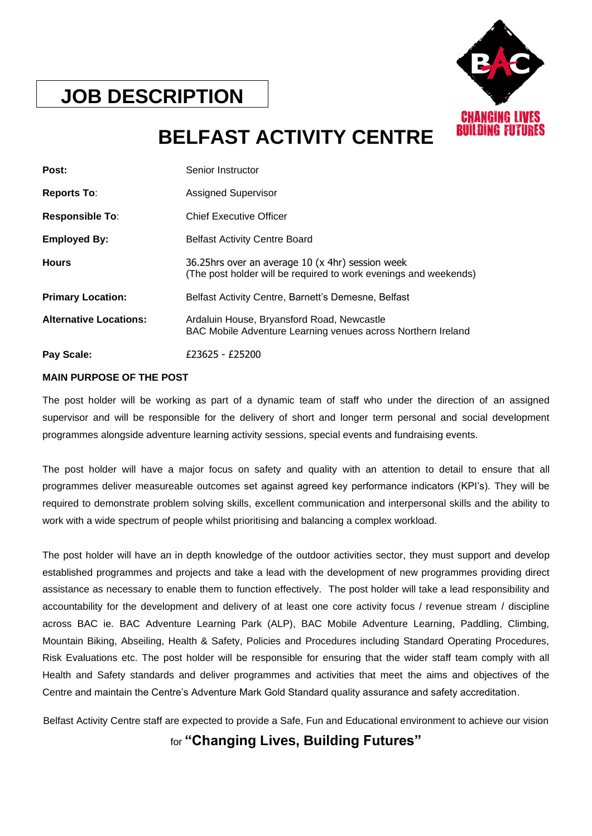

## **JOB DESCRIPTION**

# **BELFAST ACTIVITY CENTRE**

| Post:                         | Senior Instructor                                                                                                    |
|-------------------------------|----------------------------------------------------------------------------------------------------------------------|
| <b>Reports To:</b>            | <b>Assigned Supervisor</b>                                                                                           |
| <b>Responsible To:</b>        | <b>Chief Executive Officer</b>                                                                                       |
| <b>Employed By:</b>           | <b>Belfast Activity Centre Board</b>                                                                                 |
| <b>Hours</b>                  | 36.25hrs over an average 10 (x 4hr) session week<br>(The post holder will be required to work evenings and weekends) |
| <b>Primary Location:</b>      | Belfast Activity Centre, Barnett's Demesne, Belfast                                                                  |
| <b>Alternative Locations:</b> | Ardaluin House, Bryansford Road, Newcastle<br>BAC Mobile Adventure Learning venues across Northern Ireland           |
| Pay Scale:                    | £23625 - £25200                                                                                                      |

## **MAIN PURPOSE OF THE POST**

The post holder will be working as part of a dynamic team of staff who under the direction of an assigned supervisor and will be responsible for the delivery of short and longer term personal and social development programmes alongside adventure learning activity sessions, special events and fundraising events.

The post holder will have a major focus on safety and quality with an attention to detail to ensure that all programmes deliver measureable outcomes set against agreed key performance indicators (KPI's). They will be required to demonstrate problem solving skills, excellent communication and interpersonal skills and the ability to work with a wide spectrum of people whilst prioritising and balancing a complex workload.

The post holder will have an in depth knowledge of the outdoor activities sector, they must support and develop established programmes and projects and take a lead with the development of new programmes providing direct assistance as necessary to enable them to function effectively. The post holder will take a lead responsibility and accountability for the development and delivery of at least one core activity focus / revenue stream / discipline across BAC ie. BAC Adventure Learning Park (ALP), BAC Mobile Adventure Learning, Paddling, Climbing, Mountain Biking, Abseiling, Health & Safety, Policies and Procedures including Standard Operating Procedures, Risk Evaluations etc. The post holder will be responsible for ensuring that the wider staff team comply with all Health and Safety standards and deliver programmes and activities that meet the aims and objectives of the Centre and maintain the Centre's Adventure Mark Gold Standard quality assurance and safety accreditation.

Belfast Activity Centre staff are expected to provide a Safe, Fun and Educational environment to achieve our vision

for **"Changing Lives, Building Futures"**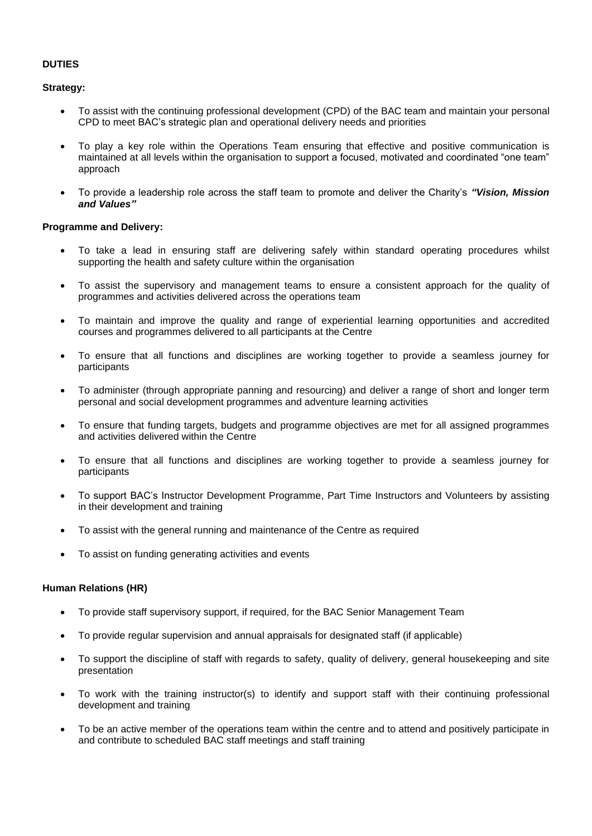#### **DUTIES**

**Strategy:**

- To assist with the continuing professional development (CPD) of the BAC team and maintain your personal CPD to meet BAC's strategic plan and operational delivery needs and priorities
- To play a key role within the Operations Team ensuring that effective and positive communication is maintained at all levels within the organisation to support a focused, motivated and coordinated "one team" approach
- To provide a leadership role across the staff team to promote and deliver the Charity's *"Vision, Mission and Values"*

#### **Programme and Delivery:**

- To take a lead in ensuring staff are delivering safely within standard operating procedures whilst supporting the health and safety culture within the organisation
- To assist the supervisory and management teams to ensure a consistent approach for the quality of programmes and activities delivered across the operations team
- To maintain and improve the quality and range of experiential learning opportunities and accredited courses and programmes delivered to all participants at the Centre
- To ensure that all functions and disciplines are working together to provide a seamless journey for participants
- To administer (through appropriate panning and resourcing) and deliver a range of short and longer term personal and social development programmes and adventure learning activities
- To ensure that funding targets, budgets and programme objectives are met for all assigned programmes and activities delivered within the Centre
- To ensure that all functions and disciplines are working together to provide a seamless journey for participants
- To support BAC's Instructor Development Programme, Part Time Instructors and Volunteers by assisting in their development and training
- To assist with the general running and maintenance of the Centre as required
- To assist on funding generating activities and events

#### **Human Relations (HR)**

- To provide staff supervisory support, if required, for the BAC Senior Management Team
- To provide regular supervision and annual appraisals for designated staff (if applicable)
- To support the discipline of staff with regards to safety, quality of delivery, general housekeeping and site presentation
- To work with the training instructor(s) to identify and support staff with their continuing professional development and training
- To be an active member of the operations team within the centre and to attend and positively participate in and contribute to scheduled BAC staff meetings and staff training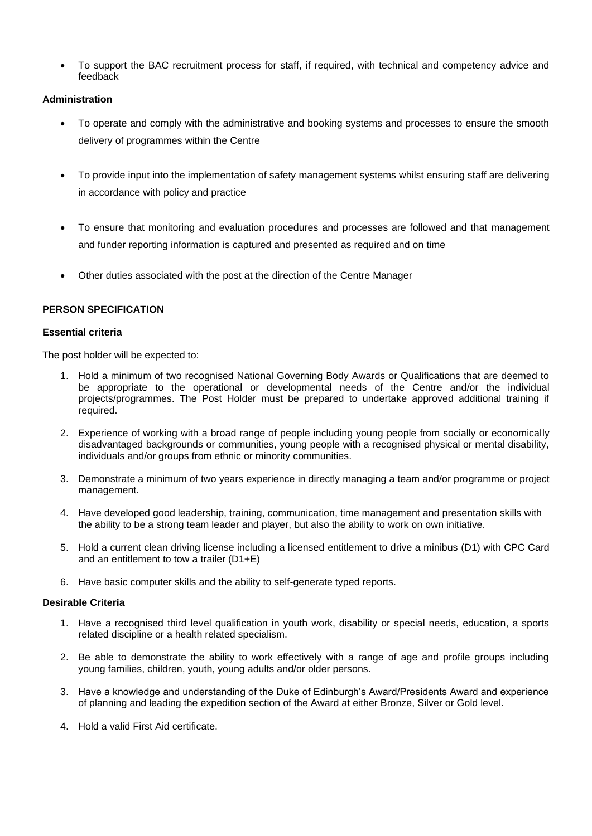• To support the BAC recruitment process for staff, if required, with technical and competency advice and feedback

#### **Administration**

- To operate and comply with the administrative and booking systems and processes to ensure the smooth delivery of programmes within the Centre
- To provide input into the implementation of safety management systems whilst ensuring staff are delivering in accordance with policy and practice
- To ensure that monitoring and evaluation procedures and processes are followed and that management and funder reporting information is captured and presented as required and on time
- Other duties associated with the post at the direction of the Centre Manager

#### **PERSON SPECIFICATION**

#### **Essential criteria**

The post holder will be expected to:

- 1. Hold a minimum of two recognised National Governing Body Awards or Qualifications that are deemed to be appropriate to the operational or developmental needs of the Centre and/or the individual projects/programmes. The Post Holder must be prepared to undertake approved additional training if required.
- 2. Experience of working with a broad range of people including young people from socially or economically disadvantaged backgrounds or communities, young people with a recognised physical or mental disability, individuals and/or groups from ethnic or minority communities.
- 3. Demonstrate a minimum of two years experience in directly managing a team and/or programme or project management.
- 4. Have developed good leadership, training, communication, time management and presentation skills with the ability to be a strong team leader and player, but also the ability to work on own initiative.
- 5. Hold a current clean driving license including a licensed entitlement to drive a minibus (D1) with CPC Card and an entitlement to tow a trailer (D1+E)
- 6. Have basic computer skills and the ability to self-generate typed reports.

#### **Desirable Criteria**

- 1. Have a recognised third level qualification in youth work, disability or special needs, education, a sports related discipline or a health related specialism.
- 2. Be able to demonstrate the ability to work effectively with a range of age and profile groups including young families, children, youth, young adults and/or older persons.
- 3. Have a knowledge and understanding of the Duke of Edinburgh's Award/Presidents Award and experience of planning and leading the expedition section of the Award at either Bronze, Silver or Gold level.
- 4. Hold a valid First Aid certificate.